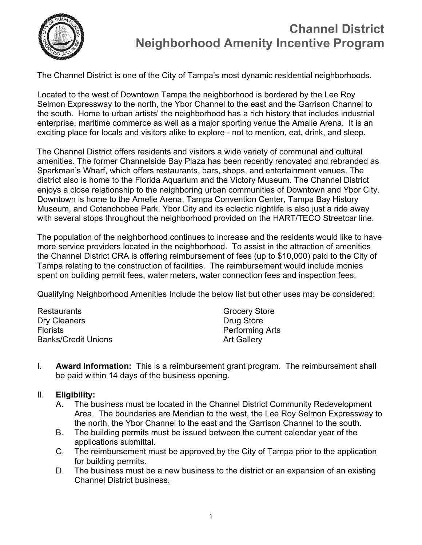

## **Channel District Neighborhood Amenity Incentive Program**

The Channel District is one of the City of Tampa's most dynamic residential neighborhoods.

Located to the west of Downtown Tampa the neighborhood is bordered by the Lee Roy Selmon Expressway to the north, the Ybor Channel to the east and the Garrison Channel to the south. Home to urban artists' the neighborhood has a rich history that includes industrial enterprise, maritime commerce as well as a major sporting venue the Amalie Arena. It is an exciting place for locals and visitors alike to explore - not to mention, eat, drink, and sleep.

The Channel District offers residents and visitors a wide variety of communal and cultural amenities. The former Channelside Bay Plaza has been recently renovated and rebranded as Sparkman's Wharf, which offers restaurants, bars, shops, and entertainment venues. The district also is home to the Florida Aquarium and the Victory Museum. The Channel District enjoys a close relationship to the neighboring urban communities of Downtown and Ybor City. Downtown is home to the Amelie Arena, Tampa Convention Center, Tampa Bay History Museum, and Cotanchobee Park. Ybor City and its eclectic nightlife is also just a ride away with several stops throughout the neighborhood provided on the HART/TECO Streetcar line.

The population of the neighborhood continues to increase and the residents would like to have more service providers located in the neighborhood. To assist in the attraction of amenities the Channel District CRA is offering reimbursement of fees (up to \$10,000) paid to the City of Tampa relating to the construction of facilities. The reimbursement would include monies spent on building permit fees, water meters, water connection fees and inspection fees.

Qualifying Neighborhood Amenities Include the below list but other uses may be considered:

| Restaurants                | <b>Grocery Store</b>   |
|----------------------------|------------------------|
| Dry Cleaners               | Drug Store             |
| <b>Florists</b>            | <b>Performing Arts</b> |
| <b>Banks/Credit Unions</b> | <b>Art Gallery</b>     |

I. **Award Information:** This is a reimbursement grant program. The reimbursement shall be paid within 14 days of the business opening.

## II. **Eligibility:**

- A. The business must be located in the Channel District Community Redevelopment Area. The boundaries are Meridian to the west, the Lee Roy Selmon Expressway to the north, the Ybor Channel to the east and the Garrison Channel to the south.
- B. The building permits must be issued between the current calendar year of the applications submittal.
- C. The reimbursement must be approved by the City of Tampa prior to the application for building permits.
- D. The business must be a new business to the district or an expansion of an existing Channel District business.